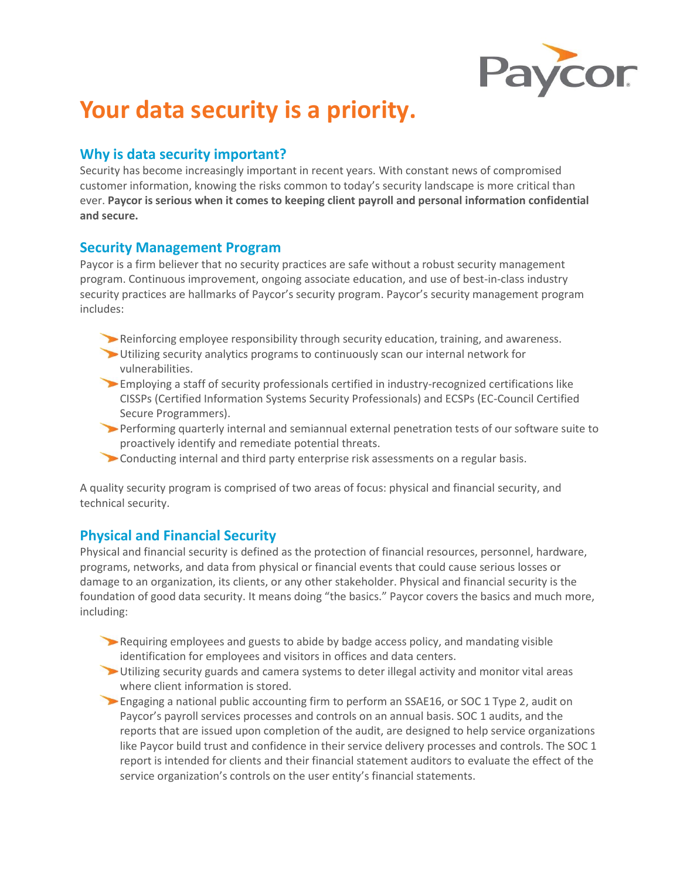

# **Your data security is a priority.**

## **Why is data security important?**

Security has become increasingly important in recent years. With constant news of compromised customer information, knowing the risks common to today's security landscape is more critical than ever. **Paycor is serious when it comes to keeping client payroll and personal information confidential and secure.**

## **Security Management Program**

Paycor is a firm believer that no security practices are safe without a robust security management program. Continuous improvement, ongoing associate education, and use of best-in-class industry security practices are hallmarks of Paycor's security program. Paycor's security management program includes:

- Reinforcing employee responsibility through security education, training, and awareness.
- Utilizing security analytics programs to continuously scan our internal network for vulnerabilities.
- Employing a staff of security professionals certified in industry-recognized certifications like CISSPs (Certified Information Systems Security Professionals) and ECSPs (EC-Council Certified Secure Programmers).
- Performing quarterly internal and semiannual external penetration tests of our software suite to proactively identify and remediate potential threats.
- Conducting internal and third party enterprise risk assessments on a regular basis.

A quality security program is comprised of two areas of focus: physical and financial security, and technical security.

## **Physical and Financial Security**

Physical and financial security is defined as the protection of financial resources, personnel, hardware, programs, networks, and data from physical or financial events that could cause serious losses or damage to an organization, its clients, or any other stakeholder. Physical and financial security is the foundation of good data security. It means doing "the basics." Paycor covers the basics and much more, including:

- Requiring employees and guests to abide by badge access policy, and mandating visible identification for employees and visitors in offices and data centers.
- Utilizing security guards and camera systems to deter illegal activity and monitor vital areas where client information is stored.
- Engaging a national public accounting firm to perform an SSAE16, or SOC 1 Type 2, audit on Paycor's payroll services processes and controls on an annual basis. SOC 1 audits, and the reports that are issued upon completion of the audit, are designed to help service organizations like Paycor build trust and confidence in their service delivery processes and controls. The SOC 1 report is intended for clients and their financial statement auditors to evaluate the effect of the service organization's controls on the user entity's financial statements.